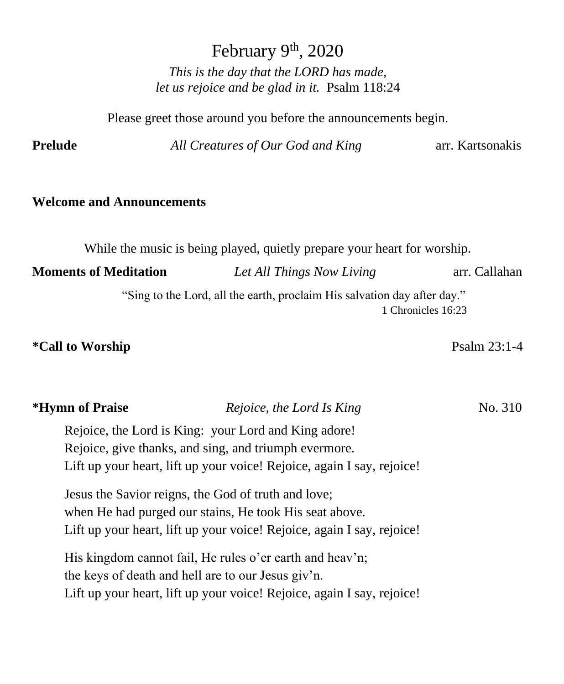February 9<sup>th</sup>, 2020

*This is the day that the LORD has made, let us rejoice and be glad in it.* Psalm 118:24

Please greet those around you before the announcements begin.

**Prelude** *All Creatures of Our God and King* arr. Kartsonakis

#### **Welcome and Announcements**

While the music is being played, quietly prepare your heart for worship.

**Moments of Meditation** *<i>Let All Things Now Living* arr. Callahan "Sing to the Lord, all the earth, proclaim His salvation day after day." 1 Chronicles 16:23

#### **\*Call to Worship** Psalm 23:1-4

| <b>ILVILLE VI I LULOV</b> | Reporce, the Lord is King                                              | 1 1 1 2 2 2 3 4 1 2 2 |
|---------------------------|------------------------------------------------------------------------|-----------------------|
|                           | Rejoice, the Lord is King: your Lord and King adore!                   |                       |
|                           | Rejoice, give thanks, and sing, and triumph evermore.                  |                       |
|                           | Lift up your heart, lift up your voice! Rejoice, again I say, rejoice! |                       |
|                           | Jesus the Savior reigns, the God of truth and love;                    |                       |

**\*Hymn of Praise** *Rejoice, the Lord Is King* No. 310

when He had purged our stains, He took His seat above. Lift up your heart, lift up your voice! Rejoice, again I say, rejoice!

His kingdom cannot fail, He rules o'er earth and heav'n; the keys of death and hell are to our Jesus giv'n. Lift up your heart, lift up your voice! Rejoice, again I say, rejoice!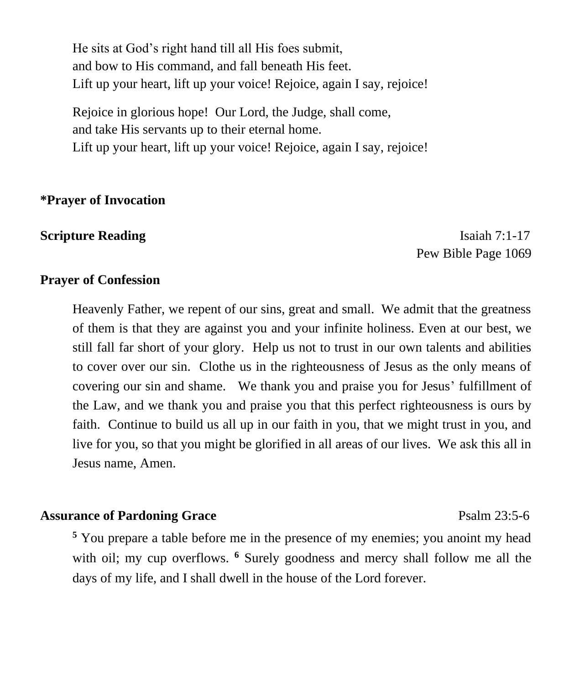He sits at God's right hand till all His foes submit, and bow to His command, and fall beneath His feet. Lift up your heart, lift up your voice! Rejoice, again I say, rejoice!

Rejoice in glorious hope! Our Lord, the Judge, shall come, and take His servants up to their eternal home. Lift up your heart, lift up your voice! Rejoice, again I say, rejoice!

#### **\*Prayer of Invocation**

**Scripture Reading** Isaiah 7:1-17 Pew Bible Page 1069

#### **Prayer of Confession**

Heavenly Father, we repent of our sins, great and small. We admit that the greatness of them is that they are against you and your infinite holiness. Even at our best, we still fall far short of your glory. Help us not to trust in our own talents and abilities to cover over our sin. Clothe us in the righteousness of Jesus as the only means of covering our sin and shame. We thank you and praise you for Jesus' fulfillment of the Law, and we thank you and praise you that this perfect righteousness is ours by faith. Continue to build us all up in our faith in you, that we might trust in you, and live for you, so that you might be glorified in all areas of our lives. We ask this all in Jesus name, Amen.

#### Assurance of Pardoning Grace **Psalm 23:5-6**

**<sup>5</sup>** You prepare a table before me in the presence of my enemies; you anoint my head with oil; my cup overflows. <sup>6</sup> Surely goodness and mercy shall follow me all the days of my life, and I shall dwell in the house of the Lord forever.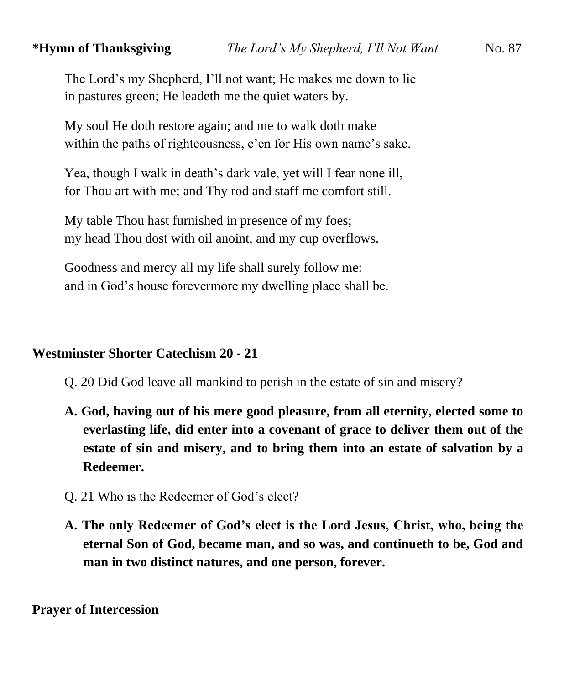The Lord's my Shepherd, I'll not want; He makes me down to lie in pastures green; He leadeth me the quiet waters by.

My soul He doth restore again; and me to walk doth make within the paths of righteousness, e'en for His own name's sake.

Yea, though I walk in death's dark vale, yet will I fear none ill, for Thou art with me; and Thy rod and staff me comfort still.

My table Thou hast furnished in presence of my foes; my head Thou dost with oil anoint, and my cup overflows.

Goodness and mercy all my life shall surely follow me: and in God's house forevermore my dwelling place shall be.

### **Westminster Shorter Catechism 20 - 21**

- Q. 20 Did God leave all mankind to perish in the estate of sin and misery?
- **A. God, having out of his mere good pleasure, from all eternity, elected some to everlasting life, did enter into a covenant of grace to deliver them out of the estate of sin and misery, and to bring them into an estate of salvation by a Redeemer.**
- Q. 21 Who is the Redeemer of God's elect?
- **A. The only Redeemer of God's elect is the Lord Jesus, Christ, who, being the eternal Son of God, became man, and so was, and continueth to be, God and man in two distinct natures, and one person, forever.**

**Prayer of Intercession**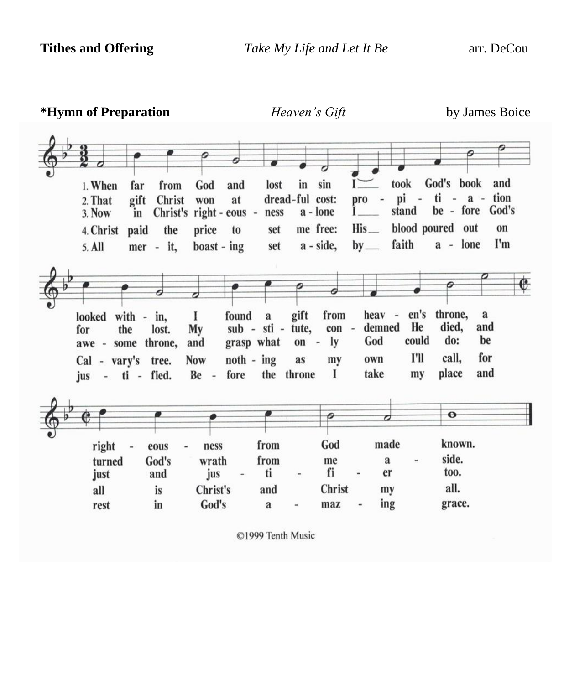| *Hymn of Preparation                                                                                                                                                                                                     | Heaven's Gift                                                                                                                                                                         | by James Boice                                                                                                                              |
|--------------------------------------------------------------------------------------------------------------------------------------------------------------------------------------------------------------------------|---------------------------------------------------------------------------------------------------------------------------------------------------------------------------------------|---------------------------------------------------------------------------------------------------------------------------------------------|
| 1. When<br>God<br>and<br>far<br>from<br>gift<br>Christ<br>at<br>2. That<br>won<br>$right - eous -$<br>Christ's<br>3. Now<br>in<br>price<br>4. Christ<br>paid<br>the<br>to<br>$\text{boost}$ - ing<br>5. All<br>mer - it, | sin<br>lost<br>in<br>dread-ful cost:<br>pro<br>a - lone<br>ness<br>His<br>me free:<br>set<br>a - side,<br>$by$ <sub>—</sub><br>set                                                    | God's book<br>took<br>and<br>ti<br>tion<br>pi<br>$ a$ $-$<br>be - fore God's<br>stand<br>blood poured out<br>on<br>faith<br>I'm<br>a - lone |
| found<br>with $-$<br>1<br>looked<br>in,<br>the<br>My<br>lost.<br>for<br>grasp what<br>throne,<br>and<br>awe - some<br>$noth - ing$<br><b>Now</b><br>Cal - vary's tree.<br>fied.<br>Be<br>fore<br>- ti -<br>jus<br>$\sim$ | 6<br>gift<br>from<br>heav<br>$\overline{\phantom{a}}$<br>a<br>demned<br>sub - sti -<br>tute,<br>con<br>$\sim$<br>God<br>ly<br>$on -$<br>as<br>own<br>my<br>I<br>take<br>the<br>throne | throne,<br>en's<br>$\mathbf a$<br>He<br>died,<br>and<br>could<br>do:<br>be<br>I'll<br>for<br>call,<br>and<br>place<br>my                    |
| right<br>ness<br>eous<br>God's<br>wrath<br>turned<br>jus<br>just<br>and<br>Christ's<br>all<br>is<br>God's<br>in<br>rest                                                                                                  | 0<br>$\boldsymbol{\sigma}$<br>made<br>God<br>from<br>from<br>me<br>a<br>fi<br>ti<br>er<br>Christ<br>and<br>my<br>ing<br>maz<br>a<br>$\overline{a}$                                    | $\bullet$<br>known.<br>side.<br>too.<br>all.<br>grace.                                                                                      |

©1999 Tenth Music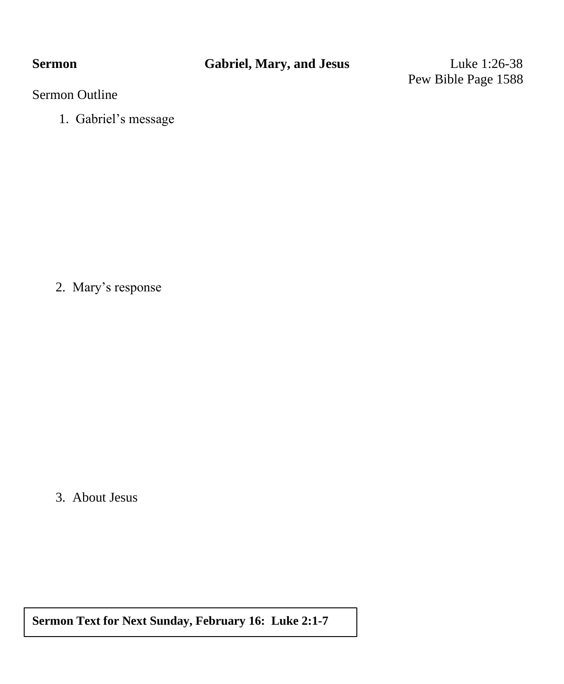Pew Bible Page 1588

### Sermon Outline

1. Gabriel's message

2. Mary's response

3. About Jesus

**Sermon Text for Next Sunday, February 16: Luke 2:1-7**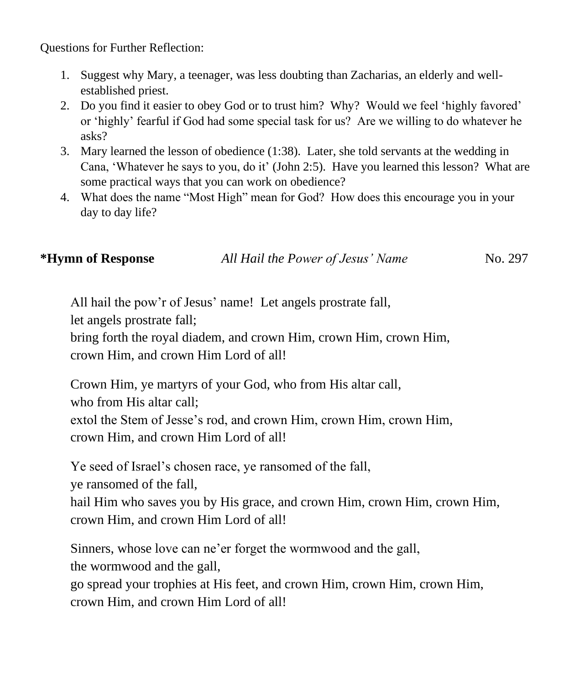Questions for Further Reflection:

- 1. Suggest why Mary, a teenager, was less doubting than Zacharias, an elderly and wellestablished priest.
- 2. Do you find it easier to obey God or to trust him? Why? Would we feel 'highly favored' or 'highly' fearful if God had some special task for us? Are we willing to do whatever he asks?
- 3. Mary learned the lesson of obedience (1:38). Later, she told servants at the wedding in Cana, 'Whatever he says to you, do it' (John 2:5). Have you learned this lesson? What are some practical ways that you can work on obedience?
- 4. What does the name "Most High" mean for God? How does this encourage you in your day to day life?

**\*Hymn of Response** *All Hail the Power of Jesus' Name* No. 297

All hail the pow'r of Jesus' name! Let angels prostrate fall,

let angels prostrate fall;

bring forth the royal diadem, and crown Him, crown Him, crown Him, crown Him, and crown Him Lord of all!

Crown Him, ye martyrs of your God, who from His altar call, who from His altar call; extol the Stem of Jesse's rod, and crown Him, crown Him, crown Him, crown Him, and crown Him Lord of all!

Ye seed of Israel's chosen race, ye ransomed of the fall,

ye ransomed of the fall,

hail Him who saves you by His grace, and crown Him, crown Him, crown Him, crown Him, and crown Him Lord of all!

Sinners, whose love can ne'er forget the wormwood and the gall, the wormwood and the gall,

go spread your trophies at His feet, and crown Him, crown Him, crown Him, crown Him, and crown Him Lord of all!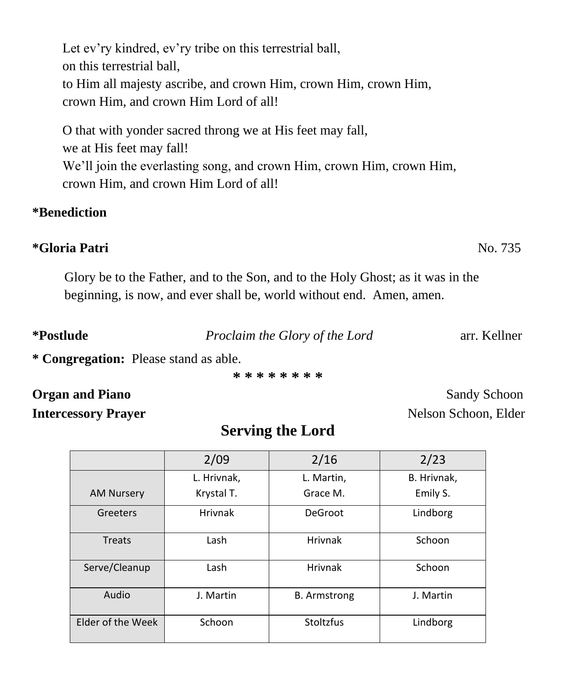Let ev'ry kindred, ev'ry tribe on this terrestrial ball, on this terrestrial ball, to Him all majesty ascribe, and crown Him, crown Him, crown Him, crown Him, and crown Him Lord of all!

O that with yonder sacred throng we at His feet may fall, we at His feet may fall! We'll join the everlasting song, and crown Him, crown Him, crown Him, crown Him, and crown Him Lord of all!

### **\*Benediction**

### **\*Gloria Patri** No. 735

Glory be to the Father, and to the Son, and to the Holy Ghost; as it was in the beginning, is now, and ever shall be, world without end. Amen, amen.

**\*Postlude** *Proclaim the Glory of the Lord* arr. Kellner

**\* Congregation:** Please stand as able.

**\* \* \* \* \* \* \* \***

## **Organ and Piano** Sandy Schoon

**Intercessory Prayer** Nelson Schoon, Elder

## **Serving the Lord**

|                   | 2/09           | 2/16                | 2/23        |
|-------------------|----------------|---------------------|-------------|
|                   | L. Hrivnak,    | L. Martin,          | B. Hrivnak, |
| <b>AM Nursery</b> | Krystal T.     | Grace M.            | Emily S.    |
| Greeters          | <b>Hrivnak</b> | DeGroot             | Lindborg    |
| <b>Treats</b>     | Lash           | <b>Hrivnak</b>      | Schoon      |
| Serve/Cleanup     | Lash           | <b>Hrivnak</b>      | Schoon      |
| Audio             | J. Martin      | <b>B.</b> Armstrong | J. Martin   |
| Elder of the Week | Schoon         | Stoltzfus           | Lindborg    |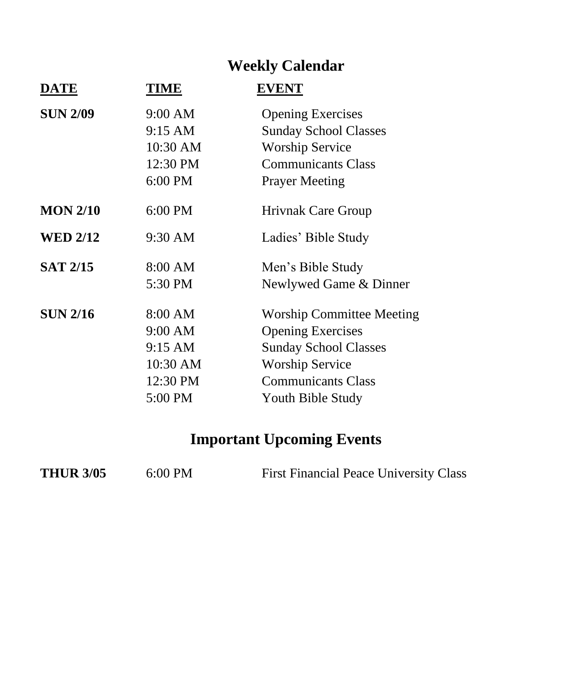# **Weekly Calendar**

| DATE            | TIME     | <b>EVENT</b>                     |
|-----------------|----------|----------------------------------|
| <b>SUN 2/09</b> | 9:00 AM  | <b>Opening Exercises</b>         |
|                 | 9:15 AM  | <b>Sunday School Classes</b>     |
|                 | 10:30 AM | <b>Worship Service</b>           |
|                 | 12:30 PM | <b>Communicants Class</b>        |
|                 | 6:00 PM  | <b>Prayer Meeting</b>            |
| <b>MON 2/10</b> | 6:00 PM  | <b>Hrivnak Care Group</b>        |
| <b>WED 2/12</b> | 9:30 AM  | Ladies' Bible Study              |
| <b>SAT 2/15</b> | 8:00 AM  | Men's Bible Study                |
|                 | 5:30 PM  | Newlywed Game & Dinner           |
| <b>SUN 2/16</b> | 8:00 AM  | <b>Worship Committee Meeting</b> |
|                 | 9:00 AM  | <b>Opening Exercises</b>         |
|                 | 9:15 AM  | <b>Sunday School Classes</b>     |
|                 | 10:30 AM | <b>Worship Service</b>           |
|                 | 12:30 PM | <b>Communicants Class</b>        |
|                 | 5:00 PM  | Youth Bible Study                |

# **Important Upcoming Events**

| <b>THUR 3/05</b> | $6:00$ PM | <b>First Financial Peace University Class</b> |
|------------------|-----------|-----------------------------------------------|
|------------------|-----------|-----------------------------------------------|